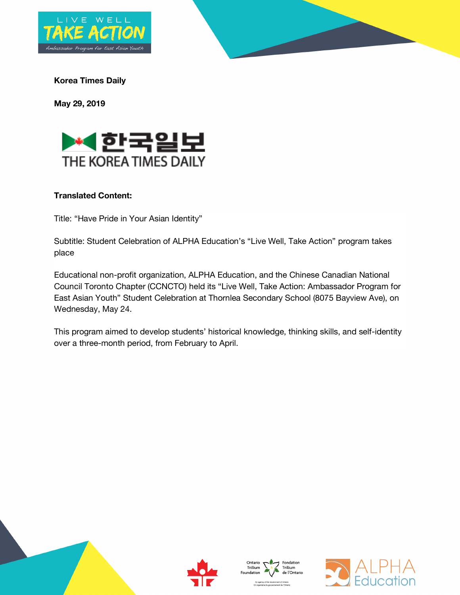



**Korea Times Daily**

**May 29, 2019**



## **Translated Content:**

Title: "Have Pride in Your Asian Identity"

Subtitle: Student Celebration of ALPHA Education's "Live Well, Take Action" program takes place

Educational non-profit organization, ALPHA Education, and the Chinese Canadian National Council Toronto Chapter (CCNCTO) held its "Live Well, Take Action: Ambassador Program for East Asian Youth" Student Celebration at Thornlea Secondary School (8075 Bayview Ave), on Wednesday, May 24.

This program aimed to develop students' historical knowledge, thinking skills, and self-identity over a three-month period, from February to April.